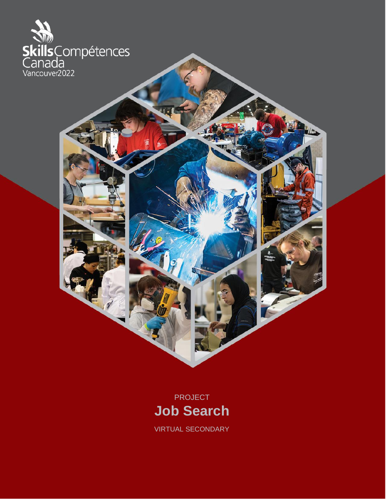



VIRTUAL SECONDARY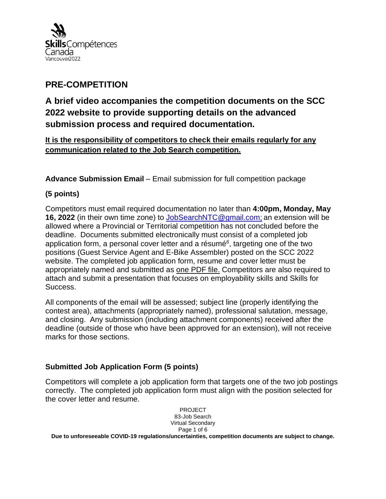

# **PRE-COMPETITION**

**A brief video accompanies the competition documents on the SCC 2022 website to provide supporting details on the advanced submission process and required documentation.**

**It is the responsibility of competitors to check their emails regularly for any communication related to the Job Search competition.**

**Advance Submission Email** – Email submission for full competition package

## **(5 points)**

Competitors must email required documentation no later than **4:00pm, Monday, May 16, 2022** (in their own time zone) to [JobSearchNTC@gmail.com;](mailto:JobSearchNTC@gmail.com) an extension will be allowed where a Provincial or Territorial competition has not concluded before the deadline. Documents submitted electronically must consist of a completed job application form, a personal cover letter and a résumé*<sup>6</sup>* , targeting one of the two positions (Guest Service Agent and E-Bike Assembler) posted on the SCC 2022 website. The completed job application form, resume and cover letter must be appropriately named and submitted as one PDF file. Competitors are also required to attach and submit a presentation that focuses on employability skills and Skills for Success.

All components of the email will be assessed; subject line (properly identifying the contest area), attachments (appropriately named), professional salutation, message, and closing. Any submission (including attachment components) received after the deadline (outside of those who have been approved for an extension), will not receive marks for those sections.

## **Submitted Job Application Form (5 points)**

Competitors will complete a job application form that targets one of the two job postings correctly. The completed job application form must align with the position selected for the cover letter and resume.

> PROJECT 83-Job Search Virtual Secondary Page 1 of 6

**Due to unforeseeable COVID-19 regulations/uncertainties, competition documents are subject to change.**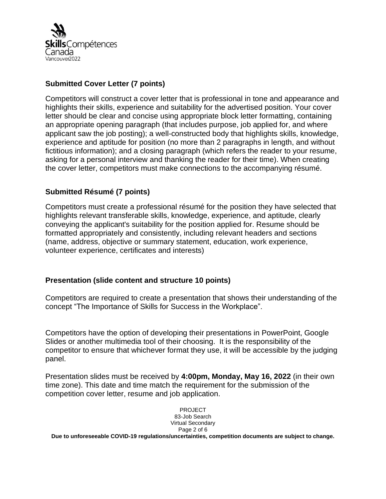

#### **Submitted Cover Letter (7 points)**

Competitors will construct a cover letter that is professional in tone and appearance and highlights their skills, experience and suitability for the advertised position. Your cover letter should be clear and concise using appropriate block letter formatting, containing an appropriate opening paragraph (that includes purpose, job applied for, and where applicant saw the job posting); a well-constructed body that highlights skills, knowledge, experience and aptitude for position (no more than 2 paragraphs in length, and without fictitious information); and a closing paragraph (which refers the reader to your resume, asking for a personal interview and thanking the reader for their time). When creating the cover letter, competitors must make connections to the accompanying résumé.

#### **Submitted Résumé (7 points)**

Competitors must create a professional résumé for the position they have selected that highlights relevant transferable skills, knowledge, experience, and aptitude, clearly conveying the applicant's suitability for the position applied for. Resume should be formatted appropriately and consistently, including relevant headers and sections (name, address, objective or summary statement, education, work experience, volunteer experience, certificates and interests)

#### **Presentation (slide content and structure 10 points)**

Competitors are required to create a presentation that shows their understanding of the concept "The Importance of Skills for Success in the Workplace".

Competitors have the option of developing their presentations in PowerPoint, Google Slides or another multimedia tool of their choosing. It is the responsibility of the competitor to ensure that whichever format they use, it will be accessible by the judging panel.

Presentation slides must be received by **4:00pm, Monday, May 16, 2022** (in their own time zone). This date and time match the requirement for the submission of the competition cover letter, resume and job application.

> PROJECT 83-Job Search Virtual Secondary Page 2 of 6

**Due to unforeseeable COVID-19 regulations/uncertainties, competition documents are subject to change.**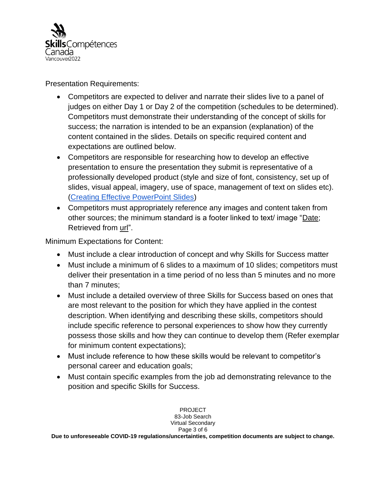

Presentation Requirements:

- Competitors are expected to deliver and narrate their slides live to a panel of judges on either Day 1 or Day 2 of the competition (schedules to be determined). Competitors must demonstrate their understanding of the concept of skills for success; the narration is intended to be an expansion (explanation) of the content contained in the slides. Details on specific required content and expectations are outlined below.
- Competitors are responsible for researching how to develop an effective presentation to ensure the presentation they submit is representative of a professionally developed product (style and size of font, consistency, set up of slides, visual appeal, imagery, use of space, management of text on slides etc). [\(Creating Effective PowerPoint Slides\)](https://www.trentu.ca/academicskills/how-guides/how-write-university/how-approach-any-assignment/creating-effective-powerpoint-slides)
- Competitors must appropriately reference any images and content taken from other sources; the minimum standard is a footer linked to text/ image "Date; Retrieved from url".

Minimum Expectations for Content:

- Must include a clear introduction of concept and why Skills for Success matter
- Must include a minimum of 6 slides to a maximum of 10 slides; competitors must deliver their presentation in a time period of no less than 5 minutes and no more than 7 minutes;
- Must include a detailed overview of three Skills for Success based on ones that are most relevant to the position for which they have applied in the contest description. When identifying and describing these skills, competitors should include specific reference to personal experiences to show how they currently possess those skills and how they can continue to develop them (Refer exemplar for minimum content expectations);
- Must include reference to how these skills would be relevant to competitor's personal career and education goals;
- Must contain specific examples from the job ad demonstrating relevance to the position and specific Skills for Success.

PROJECT 83-Job Search Virtual Secondary Page 3 of 6 **Due to unforeseeable COVID-19 regulations/uncertainties, competition documents are subject to change.**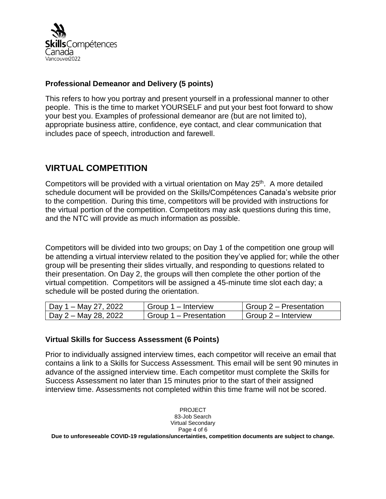

#### **Professional Demeanor and Delivery (5 points)**

This refers to how you portray and present yourself in a professional manner to other people. This is the time to market YOURSELF and put your best foot forward to show your best you. Examples of professional demeanor are (but are not limited to), appropriate business attire, confidence, eye contact, and clear communication that includes pace of speech, introduction and farewell.

## **VIRTUAL COMPETITION**

Competitors will be provided with a virtual orientation on May 25<sup>th</sup>. A more detailed schedule document will be provided on the Skills/Compétences Canada's website prior to the competition. During this time, competitors will be provided with instructions for the virtual portion of the competition. Competitors may ask questions during this time, and the NTC will provide as much information as possible.

Competitors will be divided into two groups; on Day 1 of the competition one group will be attending a virtual interview related to the position they've applied for; while the other group will be presenting their slides virtually, and responding to questions related to their presentation. On Day 2, the groups will then complete the other portion of the virtual competition. Competitors will be assigned a 45-minute time slot each day; a schedule will be posted during the orientation.

| Day 1 – May 27, 2022 | Group 1 – Interview                 | $\mid$ Group 2 – Presentation |
|----------------------|-------------------------------------|-------------------------------|
| Day 2 – May 28, 2022 | <sup>1</sup> Group 1 – Presentation | $\mid$ Group 2 – Interview    |

## **Virtual Skills for Success Assessment (6 Points)**

Prior to individually assigned interview times, each competitor will receive an email that contains a link to a Skills for Success Assessment. This email will be sent 90 minutes in advance of the assigned interview time. Each competitor must complete the Skills for Success Assessment no later than 15 minutes prior to the start of their assigned interview time. Assessments not completed within this time frame will not be scored.

PROJECT 83-Job Search Virtual Secondary Page 4 of 6 **Due to unforeseeable COVID-19 regulations/uncertainties, competition documents are subject to change.**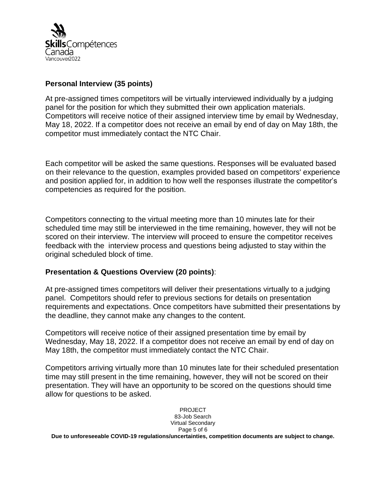

#### **Personal Interview (35 points)**

At pre-assigned times competitors will be virtually interviewed individually by a judging panel for the position for which they submitted their own application materials. Competitors will receive notice of their assigned interview time by email by Wednesday, May 18, 2022. If a competitor does not receive an email by end of day on May 18th, the competitor must immediately contact the NTC Chair.

Each competitor will be asked the same questions. Responses will be evaluated based on their relevance to the question, examples provided based on competitors' experience and position applied for, in addition to how well the responses illustrate the competitor's competencies as required for the position.

Competitors connecting to the virtual meeting more than 10 minutes late for their scheduled time may still be interviewed in the time remaining, however, they will not be scored on their interview. The interview will proceed to ensure the competitor receives feedback with the interview process and questions being adjusted to stay within the original scheduled block of time.

#### **Presentation & Questions Overview (20 points)**:

At pre-assigned times competitors will deliver their presentations virtually to a judging panel. Competitors should refer to previous sections for details on presentation requirements and expectations. Once competitors have submitted their presentations by the deadline, they cannot make any changes to the content.

Competitors will receive notice of their assigned presentation time by email by Wednesday, May 18, 2022. If a competitor does not receive an email by end of day on May 18th, the competitor must immediately contact the NTC Chair.

Competitors arriving virtually more than 10 minutes late for their scheduled presentation time may still present in the time remaining, however, they will not be scored on their presentation. They will have an opportunity to be scored on the questions should time allow for questions to be asked.

> PROJECT 83-Job Search Virtual Secondary Page 5 of 6

**Due to unforeseeable COVID-19 regulations/uncertainties, competition documents are subject to change.**